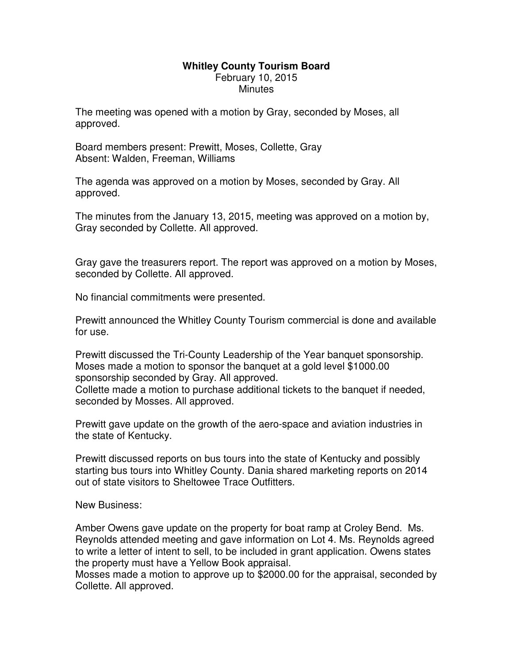## **Whitley County Tourism Board**  February 10, 2015 **Minutes**

The meeting was opened with a motion by Gray, seconded by Moses, all approved.

Board members present: Prewitt, Moses, Collette, Gray Absent: Walden, Freeman, Williams

The agenda was approved on a motion by Moses, seconded by Gray. All approved.

The minutes from the January 13, 2015, meeting was approved on a motion by, Gray seconded by Collette. All approved.

Gray gave the treasurers report. The report was approved on a motion by Moses, seconded by Collette. All approved.

No financial commitments were presented.

Prewitt announced the Whitley County Tourism commercial is done and available for use.

Prewitt discussed the Tri-County Leadership of the Year banquet sponsorship. Moses made a motion to sponsor the banquet at a gold level \$1000.00 sponsorship seconded by Gray. All approved. Collette made a motion to purchase additional tickets to the banquet if needed,

seconded by Mosses. All approved.

Prewitt gave update on the growth of the aero-space and aviation industries in the state of Kentucky.

Prewitt discussed reports on bus tours into the state of Kentucky and possibly starting bus tours into Whitley County. Dania shared marketing reports on 2014 out of state visitors to Sheltowee Trace Outfitters.

New Business:

Amber Owens gave update on the property for boat ramp at Croley Bend. Ms. Reynolds attended meeting and gave information on Lot 4. Ms. Reynolds agreed to write a letter of intent to sell, to be included in grant application. Owens states the property must have a Yellow Book appraisal.

Mosses made a motion to approve up to \$2000.00 for the appraisal, seconded by Collette. All approved.